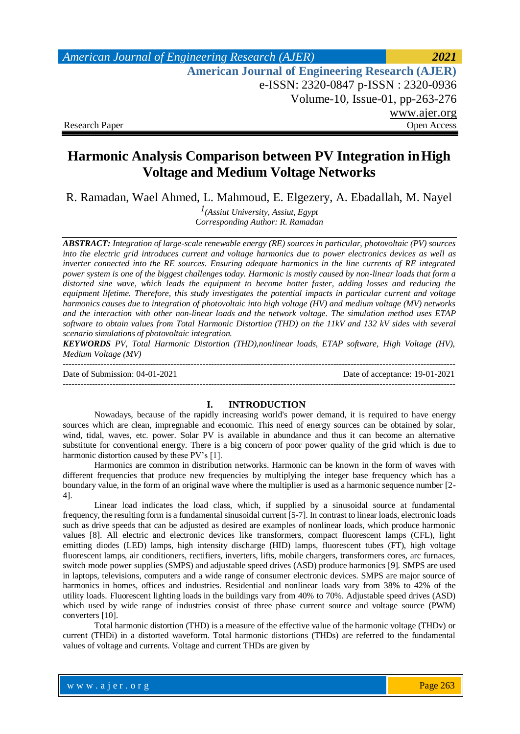# **Harmonic Analysis Comparison between PV Integration inHigh Voltage and Medium Voltage Networks**

R. Ramadan, Wael Ahmed, L. Mahmoud, E. Elgezery, A. Ebadallah, M. Nayel

*1(Assiut University, Assiut, Egypt Corresponding Author: R. Ramadan*

*ABSTRACT: Integration of large-scale renewable energy (RE) sources in particular, photovoltaic (PV) sources*  into the electric grid introduces current and voltage harmonics due to power electronics devices as well as *inverter connected into the RE sources. Ensuring adequate harmonics in the line currents of RE integrated power system is one of the biggest challenges today. Harmonic is mostly caused by non-linear loads that form a distorted sine wave, which leads the equipment to become hotter faster, adding losses and reducing the equipment lifetime. Therefore, this study investigates the potential impacts in particular current and voltage harmonics causes due to integration of photovoltaic into high voltage (HV) and medium voltage (MV) networks and the interaction with other non-linear loads and the network voltage. The simulation method uses ETAP software to obtain values from Total Harmonic Distortion (THD) on the 11kV and 132 kV sides with several scenario simulations of photovoltaic integration.*

*KEYWORDS PV, Total Harmonic Distortion (THD),nonlinear loads, ETAP software, High Voltage (HV), Medium Voltage (MV)*

--------------------------------------------------------------------------------------------------------------------------------------- Date of Submission: 04-01-2021 Date of acceptance: 19-01-2021 ---------------------------------------------------------------------------------------------------------------------------------------

#### **I. INTRODUCTION**

Nowadays, because of the rapidly increasing world's power demand, it is required to have energy sources which are clean, impregnable and economic. This need of energy sources can be obtained by solar, wind, tidal, waves, etc. power. Solar PV is available in abundance and thus it can become an alternative substitute for conventional energy. There is a big concern of poor power quality of the grid which is due to harmonic distortion caused by these PV's [1].

Harmonics are common in distribution networks. Harmonic can be known in the form of waves with different frequencies that produce new frequencies by multiplying the integer base frequency which has a boundary value, in the form of an original wave where the multiplier is used as a harmonic sequence number [2- 4].

Linear load indicates the load class, which, if supplied by a sinusoidal source at fundamental frequency, the resulting form is a fundamental sinusoidal current [5-7]. In contrast to linear loads, electronic loads such as drive speeds that can be adjusted as desired are examples of nonlinear loads, which produce harmonic values [8]. All electric and electronic devices like transformers, compact fluorescent lamps (CFL), light emitting diodes (LED) lamps, high intensity discharge (HID) lamps, fluorescent tubes (FT), high voltage fluorescent lamps, air conditioners, rectifiers, inverters, lifts, mobile chargers, transformers cores, arc furnaces, switch mode power supplies (SMPS) and adjustable speed drives (ASD) produce harmonics [9]. SMPS are used in laptops, televisions, computers and a wide range of consumer electronic devices. SMPS are major source of harmonics in homes, offices and industries. Residential and nonlinear loads vary from 38% to 42% of the utility loads. Fluorescent lighting loads in the buildings vary from 40% to 70%. Adjustable speed drives (ASD) which used by wide range of industries consist of three phase current source and voltage source (PWM) converters [10].

Total harmonic distortion (THD) is a measure of the effective value of the harmonic voltage (THDv) or current (THDi) in a distorted waveform. Total harmonic distortions (THDs) are referred to the fundamental values of voltage and currents. Voltage and current THDs are given by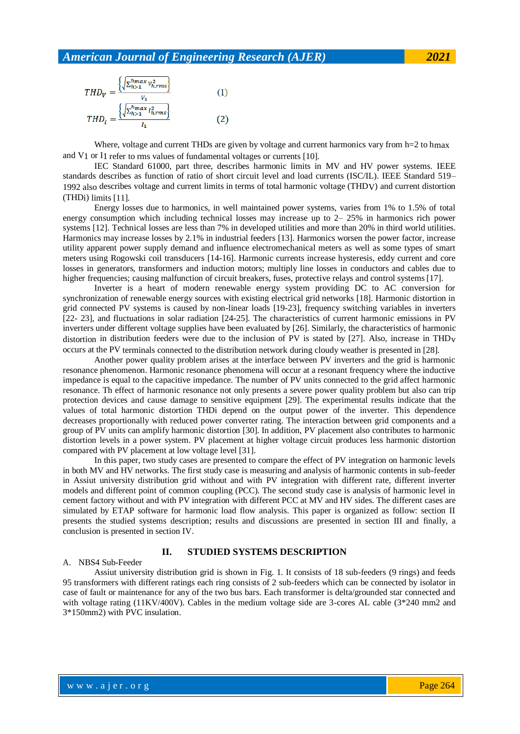$$
THD_V = \frac{\left\{\sqrt{\sum_{h>1}^{hmax} V_{h,rms}^2}\right\}}{V_1}
$$
(1)  

$$
THD_i = \frac{\left\{\sqrt{\sum_{h>1}^{hmax} I_{h,rms}^2}\right\}}{I_1}
$$
(2)

Where, voltage and current THDs are given by voltage and current harmonics vary from  $h=2$  to hmax and V1 or I1 refer to rms values of fundamental voltages or currents [10].

IEC Standard 61000, part three, describes harmonic limits in MV and HV power systems. IEEE standards describes as function of ratio of short circuit level and load currents (ISC/IL). IEEE Standard 519– 1992 also describes voltage and current limits in terms of total harmonic voltage (THDV) and current distortion (THDi) limits [11].

Energy losses due to harmonics, in well maintained power systems, varies from 1% to 1.5% of total energy consumption which including technical losses may increase up to 2– 25% in harmonics rich power systems [12]. Technical losses are less than 7% in developed utilities and more than 20% in third world utilities. Harmonics may increase losses by 2.1% in industrial feeders [13]. Harmonics worsen the power factor, increase utility apparent power supply demand and influence electromechanical meters as well as some types of smart meters using Rogowski coil transducers [14-16]. Harmonic currents increase hysteresis, eddy current and core losses in generators, transformers and induction motors; multiply line losses in conductors and cables due to higher frequencies; causing malfunction of circuit breakers, fuses, protective relays and control systems [17].

Inverter is a heart of modern renewable energy system providing DC to AC conversion for synchronization of renewable energy sources with existing electrical grid networks [18]. Harmonic distortion in grid connected PV systems is caused by non-linear loads [19-23], frequency switching variables in inverters [22- 23], and fluctuations in solar radiation [24-25]. The characteristics of current harmonic emissions in PV inverters under different voltage supplies have been evaluated by [26]. Similarly, the characteristics of harmonic distortion in distribution feeders were due to the inclusion of PV is stated by [27]. Also, increase in THDv occurs at the PV terminals connected to the distribution network during cloudy weather is presented in [28].

Another power quality problem arises at the interface between PV inverters and the grid is harmonic resonance phenomenon. Harmonic resonance phenomena will occur at a resonant frequency where the inductive impedance is equal to the capacitive impedance. The number of PV units connected to the grid affect harmonic resonance. Th effect of harmonic resonance not only presents a severe power quality problem but also can trip protection devices and cause damage to sensitive equipment [29]. The experimental results indicate that the values of total harmonic distortion THDi depend on the output power of the inverter. This dependence decreases proportionally with reduced power converter rating. The interaction between grid components and a group of PV units can amplify harmonic distortion [30]. In addition, PV placement also contributes to harmonic distortion levels in a power system. PV placement at higher voltage circuit produces less harmonic distortion compared with PV placement at low voltage level [31].

In this paper, two study cases are presented to compare the effect of PV integration on harmonic levels in both MV and HV networks. The first study case is measuring and analysis of harmonic contents in sub-feeder in Assiut university distribution grid without and with PV integration with different rate, different inverter models and different point of common coupling (PCC). The second study case is analysis of harmonic level in cement factory without and with PV integration with different PCC at MV and HV sides. The different cases are simulated by ETAP software for harmonic load flow analysis. This paper is organized as follow: section II presents the studied systems description; results and discussions are presented in section III and finally, a conclusion is presented in section IV.

#### **II. STUDIED SYSTEMS DESCRIPTION**

#### A. NBS4 Sub-Feeder

Assiut university distribution grid is shown in Fig. 1. It consists of 18 sub-feeders (9 rings) and feeds 95 transformers with different ratings each ring consists of 2 sub-feeders which can be connected by isolator in case of fault or maintenance for any of the two bus bars. Each transformer is delta/grounded star connected and with voltage rating (11KV/400V). Cables in the medium voltage side are 3-cores AL cable (3\*240 mm2 and 3\*150mm2) with PVC insulation.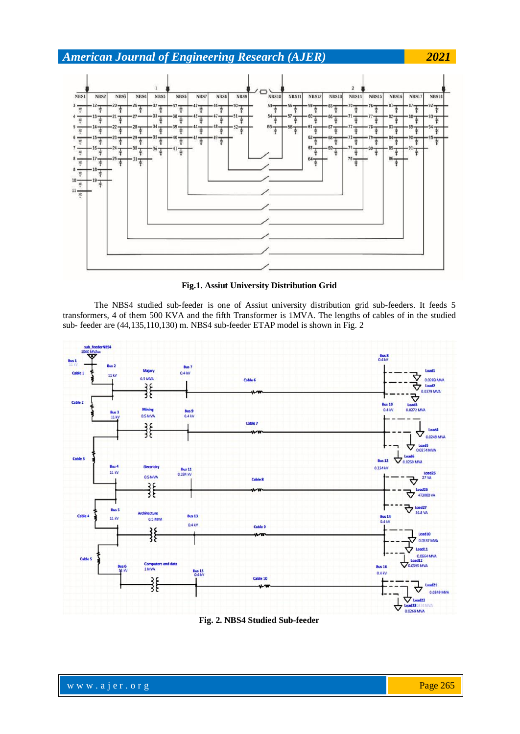

**Fig.1. Assiut University Distribution Grid**

The NBS4 studied sub-feeder is one of Assiut university distribution grid sub-feeders. It feeds 5 transformers, 4 of them 500 KVA and the fifth Transformer is 1MVA. The lengths of cables of in the studied sub- feeder are (44,135,110,130) m. NBS4 sub-feeder ETAP model is shown in Fig. 2



**Fig. 2. NBS4 Studied Sub-feeder**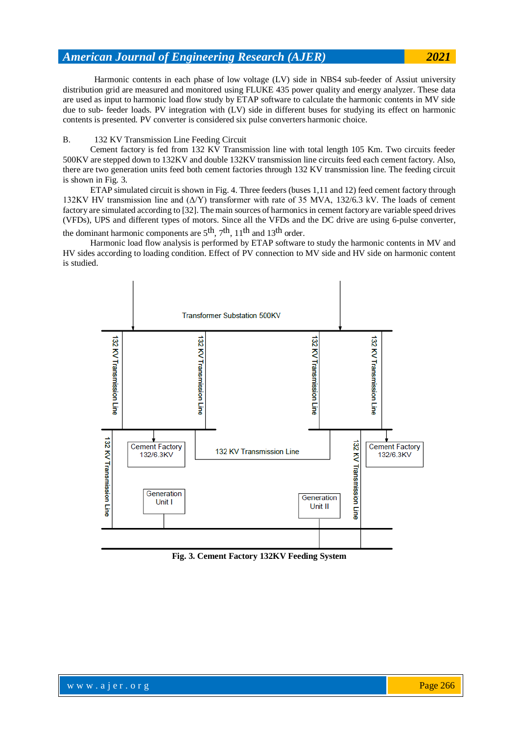Harmonic contents in each phase of low voltage (LV) side in NBS4 sub-feeder of Assiut university distribution grid are measured and monitored using FLUKE 435 power quality and energy analyzer. These data are used as input to harmonic load flow study by ETAP software to calculate the harmonic contents in MV side due to sub- feeder loads. PV integration with (LV) side in different buses for studying its effect on harmonic contents is presented. PV converter is considered six pulse converters harmonic choice.

#### B. 132 KV Transmission Line Feeding Circuit

Cement factory is fed from 132 KV Transmission line with total length 105 Km. Two circuits feeder 500KV are stepped down to 132KV and double 132KV transmission line circuits feed each cement factory. Also, there are two generation units feed both cement factories through 132 KV transmission line. The feeding circuit is shown in Fig. 3.

ETAP simulated circuit is shown in Fig. 4. Three feeders (buses 1,11 and 12) feed cement factory through 132KV HV transmission line and (Δ/Υ) transformer with rate of 35 MVA, 132/6.3 kV. The loads of cement factory are simulated according to [32]. Themain sources of harmonicsin cement factory are variable speed drives (VFDs), UPS and different types of motors. Since all the VFDs and the DC drive are using 6-pulse converter, the dominant harmonic components are  $5<sup>th</sup>$ ,  $7<sup>th</sup>$ ,  $11<sup>th</sup>$  and  $13<sup>th</sup>$  order.

Harmonic load flow analysis is performed by ETAP software to study the harmonic contents in MV and HV sides according to loading condition. Effect of PV connection to MV side and HV side on harmonic content is studied.



**Fig. 3. Cement Factory 132KV Feeding System**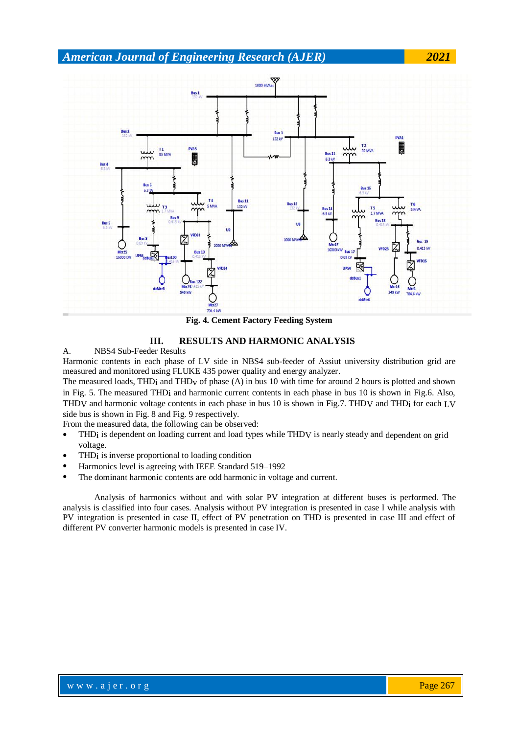

**Fig. 4. Cement Factory Feeding System**

#### **III. RESULTS AND HARMONIC ANALYSIS**

A. NBS4 Sub-Feeder Results

Harmonic contents in each phase of LV side in NBS4 sub-feeder of Assiut university distribution grid are measured and monitored using FLUKE 435 power quality and energy analyzer.

The measured loads, THD<sub>i</sub> and THD<sub>V</sub> of phase (A) in bus 10 with time for around 2 hours is plotted and shown in Fig. 5. The measured THDi and harmonic current contents in each phase in bus 10 is shown in Fig.6. Also, THDV and harmonic voltage contents in each phase in bus 10 is shown in Fig.7. THDV and THDi for each LV side bus is shown in Fig. 8 and Fig. 9 respectively.

From the measured data, the following can be observed:

- THDi is dependent on loading current and load types while THDV is nearly steady and dependent on grid voltage.
- THDi is inverse proportional to loading condition
- Harmonics level is agreeing with IEEE Standard 519–1992
- The dominant harmonic contents are odd harmonic in voltage and current.

Analysis of harmonics without and with solar PV integration at different buses is performed. The analysis is classified into four cases. Analysis without PV integration is presented in case I while analysis with PV integration is presented in case II, effect of PV penetration on THD is presented in case III and effect of different PV converter harmonic models is presented in case IV.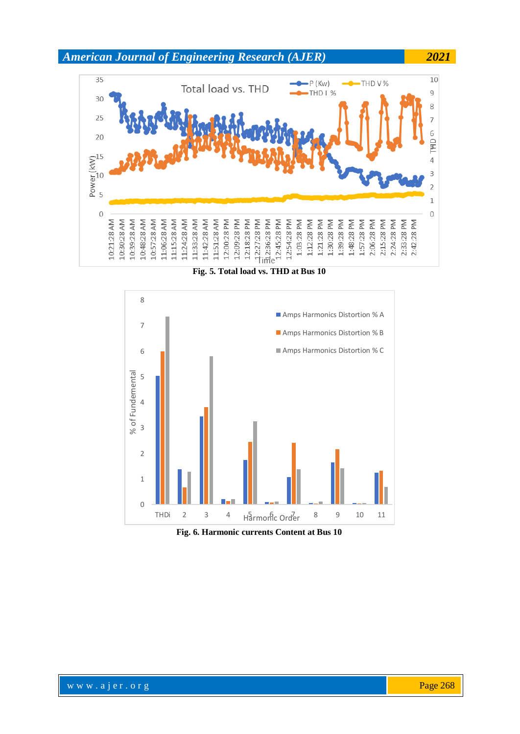

**Fig. 5. Total load vs. THD at Bus 10**



**Fig. 6. Harmonic currents Content at Bus 10**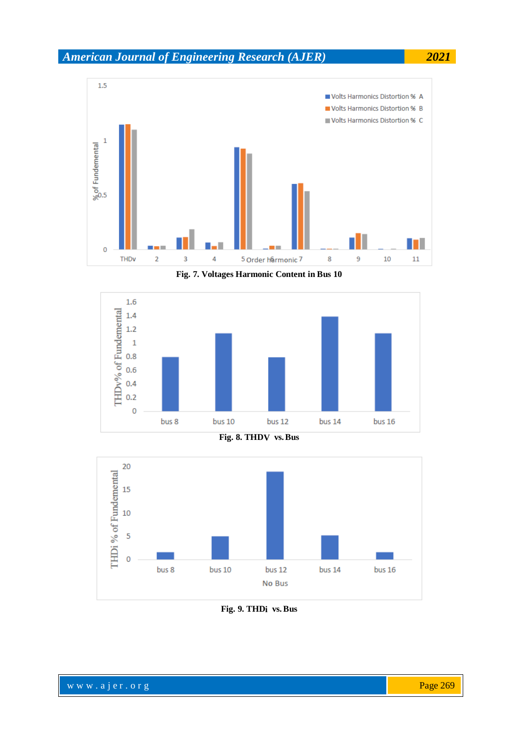

**Fig. 7. Voltages Harmonic Content in Bus 10**







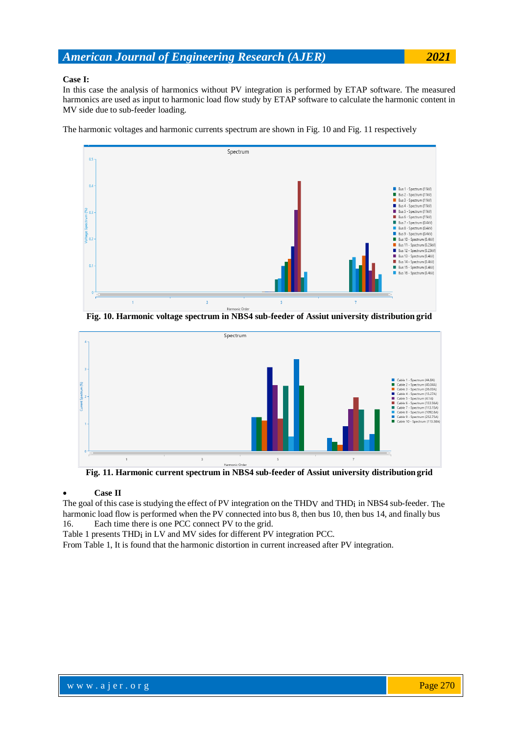#### **Case I:**

In this case the analysis of harmonics without PV integration is performed by ETAP software. The measured harmonics are used as input to harmonic load flow study by ETAP software to calculate the harmonic content in MV side due to sub-feeder loading.

The harmonic voltages and harmonic currents spectrum are shown in Fig. 10 and Fig. 11 respectively



**Fig. 10. Harmonic voltage spectrum in NBS4 sub-feeder of Assiut university distribution grid**



**Fig. 11. Harmonic current spectrum in NBS4 sub-feeder of Assiut university distribution grid**

#### **Case II**

The goal of this case is studying the effect of PV integration on the THDV and THDi in NBS4 sub-feeder. The harmonic load flow is performed when the PV connected into bus 8, then bus 10, then bus 14, and finally bus 16. Each time there is one PCC connect PV to the grid.

Table 1 presents THDi in LV and MV sides for different PV integration PCC.

From Table 1, It is found that the harmonic distortion in current increased after PV integration.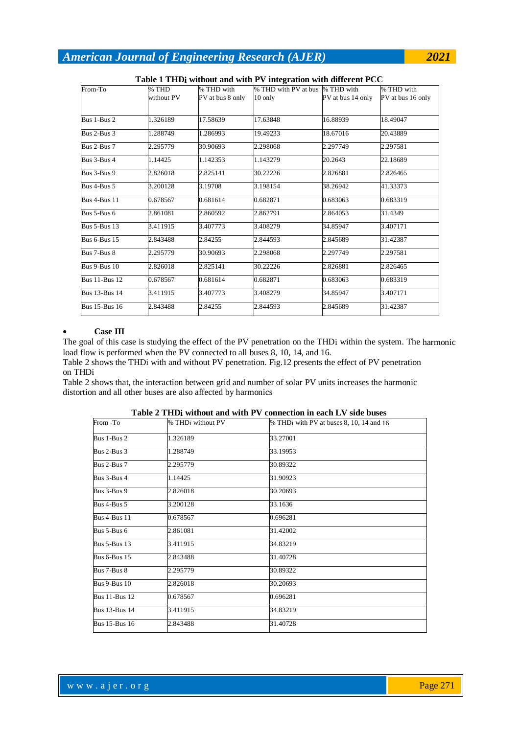| From-To              | % THD      | % THD with       | $\mathfrak{c}$ representative and writer $\mathfrak{c}$ integration with unit characterizing<br>% THD with PV at bus % THD with |                   | % THD with        |
|----------------------|------------|------------------|---------------------------------------------------------------------------------------------------------------------------------|-------------------|-------------------|
|                      | without PV | PV at bus 8 only | $10$ only                                                                                                                       | PV at bus 14 only | PV at bus 16 only |
|                      |            |                  |                                                                                                                                 |                   |                   |
| Bus 1-Bus 2          | 1.326189   | 17.58639         | 17.63848                                                                                                                        | 16.88939          | 18.49047          |
| Bus 2-Bus 3          | 1.288749   | 1.286993         | 19.49233                                                                                                                        | 18.67016          | 20.43889          |
| Bus 2-Bus 7          | 2.295779   | 30.90693         | 2.298068                                                                                                                        | 2.297749          | 2.297581          |
| Bus 3-Bus 4          | 1.14425    | 1.142353         | 1.143279                                                                                                                        | 20.2643           | 22.18689          |
| Bus 3-Bus 9          | 2.826018   | 2.825141         | 30.22226                                                                                                                        | 2.826881          | 2.826465          |
| Bus 4-Bus 5          | 3.200128   | 3.19708          | 3.198154                                                                                                                        | 38.26942          | 41.33373          |
| <b>Bus 4-Bus 11</b>  | 0.678567   | 0.681614         | 0.682871                                                                                                                        | 0.683063          | 0.683319          |
| Bus 5-Bus 6          | 2.861081   | 2.860592         | 2.862791                                                                                                                        | 2.864053          | 31.4349           |
| <b>Bus 5-Bus 13</b>  | 3.411915   | 3.407773         | 3.408279                                                                                                                        | 34.85947          | 3.407171          |
| <b>Bus 6-Bus 15</b>  | 2.843488   | 2.84255          | 2.844593                                                                                                                        | 2.845689          | 31.42387          |
| Bus 7-Bus 8          | 2.295779   | 30.90693         | 2.298068                                                                                                                        | 2.297749          | 2.297581          |
| <b>Bus 9-Bus 10</b>  | 2.826018   | 2.825141         | 30.22226                                                                                                                        | 2.826881          | 2.826465          |
| <b>Bus 11-Bus 12</b> | 0.678567   | 0.681614         | 0.682871                                                                                                                        | 0.683063          | 0.683319          |
| <b>Bus 13-Bus 14</b> | 3.411915   | 3.407773         | 3.408279                                                                                                                        | 34.85947          | 3.407171          |
| <b>Bus 15-Bus 16</b> | 2.843488   | 2.84255          | 2.844593                                                                                                                        | 2.845689          | 31.42387          |

**Table 1 THDi without and with PV integration with different PCC**

#### **Case III**

The goal of this case is studying the effect of the PV penetration on the THD<sub>i</sub> within the system. The harmonic load flow is performed when the PV connected to all buses 8, 10, 14, and 16.

Table 2 shows the THDi with and without PV penetration. Fig.12 presents the effect of PV penetration on THDi

Table 2 shows that, the interaction between grid and number of solar PV units increases the harmonic distortion and all other buses are also affected by harmonics

| From -To             | % THD <sub>i</sub> without PV | % THD <sub>i</sub> with PV at buses 8, 10, 14 and 16 |
|----------------------|-------------------------------|------------------------------------------------------|
|                      |                               |                                                      |
| Bus 1-Bus 2          | 1.326189                      | 33.27001                                             |
| Bus 2-Bus 3          | 1.288749                      | 33.19953                                             |
| Bus 2-Bus 7          | 2.295779                      | 30.89322                                             |
| Bus 3-Bus 4          | 1.14425                       | 31.90923                                             |
| Bus 3-Bus 9          | 2.826018                      | 30.20693                                             |
| Bus 4-Bus 5          | 3.200128                      | 33.1636                                              |
| Bus 4-Bus 11         | 0.678567                      | 0.696281                                             |
| Bus 5-Bus 6          | 2.861081                      | 31.42002                                             |
| <b>Bus 5-Bus 13</b>  | 3.411915                      | 34.83219                                             |
| <b>Bus 6-Bus 15</b>  | 2.843488                      | 31.40728                                             |
| Bus 7-Bus 8          | 2.295779                      | 30.89322                                             |
| <b>Bus 9-Bus 10</b>  | 2.826018                      | 30.20693                                             |
| <b>Bus 11-Bus 12</b> | 0.678567                      | 0.696281                                             |
| <b>Bus 13-Bus 14</b> | 3.411915                      | 34.83219                                             |
| <b>Bus 15-Bus 16</b> | 2.843488                      | 31.40728                                             |
|                      |                               |                                                      |

**Table 2 THDi without and with PV connection in each LV side buses**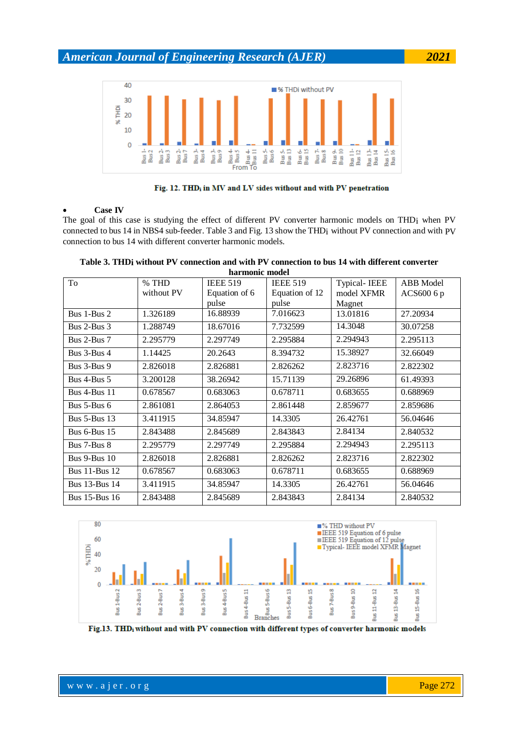



#### **Case IV**

The goal of this case is studying the effect of different PV converter harmonic models on THDi when PV connected to bus 14 in NBS4 sub-feeder. Table 3 and Fig. 13 show the THDi without PV connection and with PV connection to bus 14 with different converter harmonic models.

| To                   | % THD      | <b>IEEE 519</b> | <b>IEEE 519</b> | <b>Typical-IEEE</b> | ABB Model  |
|----------------------|------------|-----------------|-----------------|---------------------|------------|
|                      | without PV | Equation of 6   | Equation of 12  | model XFMR          | ACS600 6 p |
|                      |            | pulse           | pulse           | Magnet              |            |
| Bus 1-Bus 2          | 1.326189   | 16.88939        | 7.016623        | 13.01816            | 27.20934   |
| Bus $2$ -Bus $3$     | 1.288749   | 18.67016        | 7.732599        | 14.3048             | 30.07258   |
| Bus 2-Bus 7          | 2.295779   | 2.297749        | 2.295884        | 2.294943            | 2.295113   |
| Bus 3-Bus 4          | 1.14425    | 20.2643         | 8.394732        | 15.38927            | 32.66049   |
| Bus 3-Bus 9          | 2.826018   | 2.826881        | 2.826262        | 2.823716            | 2.822302   |
| Bus $4$ -Bus $5$     | 3.200128   | 38.26942        | 15.71139        | 29.26896            | 61.49393   |
| <b>Bus 4-Bus 11</b>  | 0.678567   | 0.683063        | 0.678711        | 0.683655            | 0.688969   |
| Bus 5-Bus 6          | 2.861081   | 2.864053        | 2.861448        | 2.859677            | 2.859686   |
| <b>Bus 5-Bus 13</b>  | 3.411915   | 34.85947        | 14.3305         | 26.42761            | 56.04646   |
| Bus $6$ -Bus $15$    | 2.843488   | 2.845689        | 2.843843        | 2.84134             | 2.840532   |
| Bus 7-Bus 8          | 2.295779   | 2.297749        | 2.295884        | 2.294943            | 2.295113   |
| Bus $9$ -Bus $10$    | 2.826018   | 2.826881        | 2.826262        | 2.823716            | 2.822302   |
| <b>Bus 11-Bus 12</b> | 0.678567   | 0.683063        | 0.678711        | 0.683655            | 0.688969   |
| <b>Bus 13-Bus 14</b> | 3.411915   | 34.85947        | 14.3305         | 26.42761            | 56.04646   |
| <b>Bus 15-Bus 16</b> | 2.843488   | 2.845689        | 2.843843        | 2.84134             | 2.840532   |

**Table 3. THDi without PV connection and with PV connection to bus 14 with different converter harmonic model**



Fig.13. THD; without and with PV connection with different types of converter harmonic models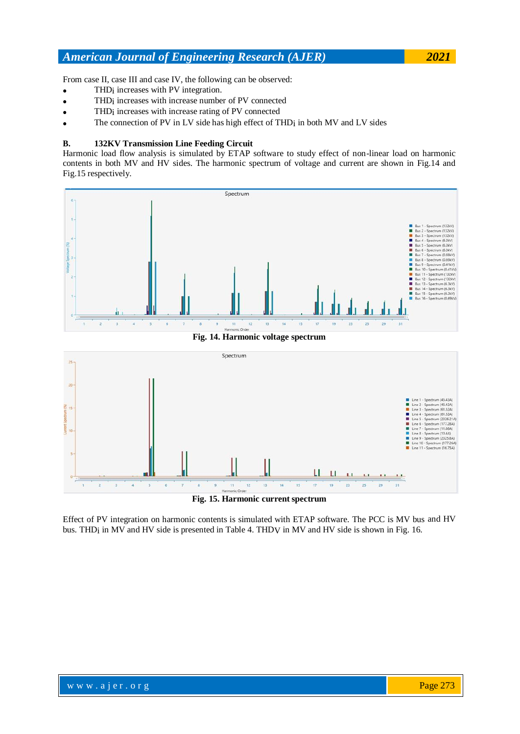From case II, case III and case IV, the following can be observed:

- THDi increases with PV integration.
- THDi increases with increase number of PV connected
- THDi increases with increase rating of PV connected
- The connection of PV in LV side has high effect of THDi in both MV and LV sides

#### **B. 132KV Transmission Line Feeding Circuit**

Harmonic load flow analysis is simulated by ETAP software to study effect of non-linear load on harmonic contents in both MV and HV sides. The harmonic spectrum of voltage and current are shown in Fig.14 and Fig.15 respectively.



**Fig. 14. Harmonic voltage spectrum**



**Fig. 15. Harmonic current spectrum**

Effect of PV integration on harmonic contents is simulated with ETAP software. The PCC is MV bus and HV bus. THD<sub>i</sub> in MV and HV side is presented in Table 4. THDV in MV and HV side is shown in Fig. 16.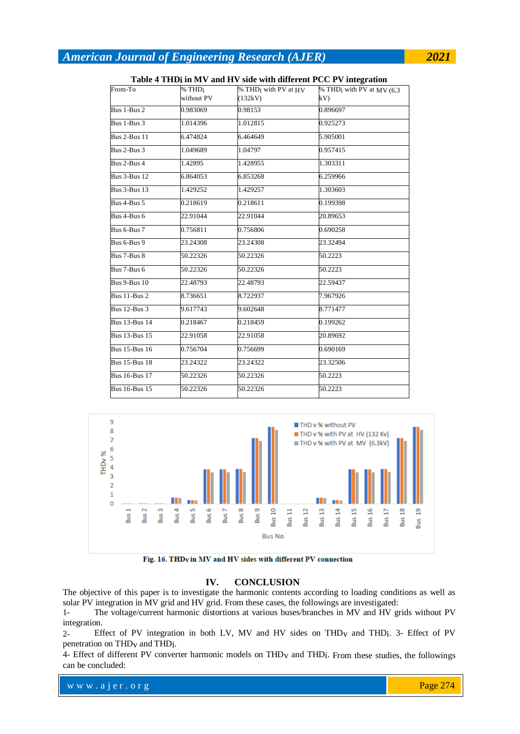|                              |                    | <u>ravic + THDI in M v and H v side with different FCC F v integration</u> |                                          |
|------------------------------|--------------------|----------------------------------------------------------------------------|------------------------------------------|
| From-To                      | % THD <sub>i</sub> | % THD <sub>i</sub> with PV at HV                                           | % THD <sub>i</sub> with PV at MV $(6.3)$ |
|                              | without PV         | (132kV)                                                                    | kV                                       |
| Bus 1-Bus 2                  | 0.983069           | 0.98153                                                                    | 0.896697                                 |
| Bus 1-Bus 3                  | 1.014396           | 1.012815                                                                   | 0.925273                                 |
| <b>Bus 2-Bus 11</b>          | 6.474824           | 6.464649                                                                   | 5.905001                                 |
| Bus 2-Bus 3                  | 1.049689           | 1.04797                                                                    | 0.957415                                 |
| Bus 2-Bus 4                  | 1.42895            | 1.428955                                                                   | 1.303311                                 |
| <b>Bus 3-Bus 12</b>          | 6.864053           | 6.853268                                                                   | 6.259966                                 |
| <b>Bus 3-Bus 13</b>          | 1.429252           | 1.429257                                                                   | 1.303603                                 |
| Bus 4-Bus 5                  | 0.218619           | 0.218611                                                                   | 0.199398                                 |
| Bus 4-Bus 6                  | 22.91044           | 22.91044                                                                   | 20.89653                                 |
| Bus 6-Bus 7                  | 0.756811           | 0.756806                                                                   | 0.690258                                 |
| Bus 6-Bus 9                  | 23.24308           | 23.24308                                                                   | 23.32494                                 |
| Bus $7$ -Bus $8$             | 50.22326           | 50.22326                                                                   | 50.2223                                  |
| Bus 7-Bus 6                  | 50.22326           | 50.22326                                                                   | 50.2223                                  |
| <b>Bus 9-Bus 10</b>          | 22.48793           | 22.48793                                                                   | 22.59437                                 |
| <b>Bus 11-Bus 2</b>          | 8.736651           | 8.722937                                                                   | 7.967926                                 |
| <b>Bus 12-Bus 3</b>          | 9.617743           | 9.602648                                                                   | 8.771477                                 |
| <b>Bus 13-Bus 14</b>         | 0.218467           | 0.218459                                                                   | 0.199262                                 |
| Bus $13 - \overline{Bus} 15$ | 22.91058           | 22.91058                                                                   | 20.89692                                 |
| <b>Bus 15-Bus 16</b>         | 0.756704           | 0.756699                                                                   | 0.690169                                 |
| <b>Bus 15-Bus 18</b>         | 23.24322           | 23.24322                                                                   | 23.32506                                 |
| <b>Bus 16-Bus 17</b>         | 50.22326           | 50.22326                                                                   | 50.2223                                  |
| <b>Bus 16-Bus 15</b>         | 50.22326           | 50.22326                                                                   | 50.2223                                  |

### **Table 4 THDi in MV and HV side with different PCC PV integration**



Fig. 16. THDy in MV and HV sides with different PV connection

#### **IV. CONCLUSION**

The objective of this paper is to investigate the harmonic contents according to loading conditions as well as solar PV integration in MV grid and HV grid. From these cases, the followings are investigated:

1- The voltage/current harmonic distortions at various buses/branches in MV and HV grids without PV integration.

2- Effect of PV integration in both LV, MV and HV sides on THDv and THDi. 3- Effect of PV penetration on THDv and THDi.

4- Effect of different PV converter harmonic models on THDv and THDi. From these studies, the followings can be concluded: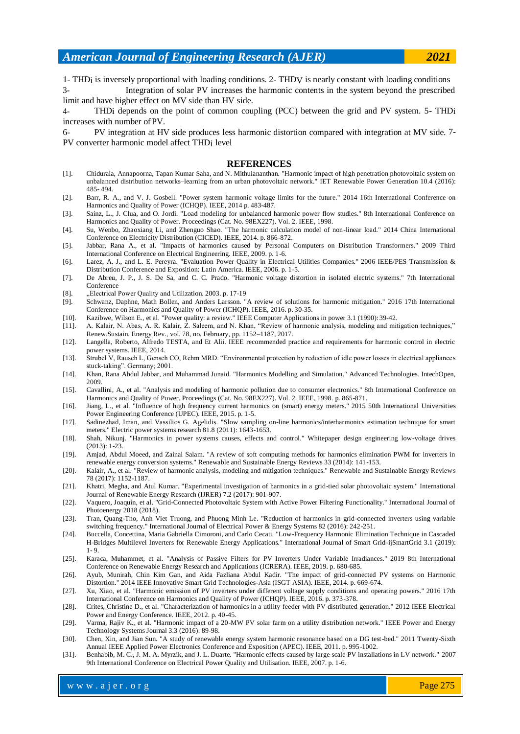1- THDi is inversely proportional with loading conditions. 2- THDV is nearly constant with loading conditions

3- Integration of solar PV increases the harmonic contents in the system beyond the prescribed limit and have higher effect on MV side than HV side.

4- THDi depends on the point of common coupling (PCC) between the grid and PV system. 5- THDi increases with number ofPV.

6- PV integration at HV side produces less harmonic distortion compared with integration at MV side. 7- PV converter harmonic model affect THDi level

#### **REFERENCES**

- [1]. Chidurala, Annapoorna, Tapan Kumar Saha, and N. Mithulananthan. "Harmonic impact of high penetration photovoltaic system on unbalanced distribution networks–learning from an urban photovoltaic network." IET Renewable Power Generation 10.4 (2016): 485- 494.
- [2]. Barr, R. A., and V. J. Gosbell. "Power system harmonic voltage limits for the future." 2014 16th International Conference on Harmonics and Quality of Power (ICHQP). IEEE, 2014 p. 483-487.
- [3]. Sainz, L., J. Clua, and O. Jordi. "Load modeling for unbalanced harmonic power flow studies." 8th International Conference on Harmonics and Quality of Power. Proceedings (Cat. No. 98EX227). Vol. 2. IEEE, 1998.
- [4]. Su, Wenbo, Zhaoxiang Li, and Zhenguo Shao. "The harmonic calculation model of non-linear load." 2014 China International Conference on Electricity Distribution (CICED). IEEE, 2014. p. 866-872.
- [5]. Jabbar, Rana A., et al. "Impacts of harmonics caused by Personal Computers on Distribution Transformers." 2009 Third International Conference on Electrical Engineering. IEEE, 2009. p. 1-6.
- [6]. Larez, A. J., and L. E. Pereyra. "Evaluation Power Quality in Electrical Utilities Companies." 2006 IEEE/PES Transmission & Distribution Conference and Exposition: Latin America. IEEE, 2006. p. 1-5.
- [7]. De Abreu, J. P., J. S. De Sa, and C. C. Prado. "Harmonic voltage distortion in isolated electric systems." 7th International Conference
- [8]. "Electrical Power Quality and Utilization. 2003. p. 17-19
- <sup>[9]</sup>. Schwanz, Daphne, Math Bollen, and Anders Larsson. "A review of solutions for harmonic mitigation." 2016 17th International Conference on Harmonics and Quality of Power (ICHQP). IEEE, 2016. p. 30-35.
- [10]. Kazibwe, Wilson E., et al. "Power quality: a review." IEEE Computer Applications in power 3.1 (1990): 39-42.
- [11]. A. Kalair, N. Abas, A. R. Kalair, Z. Saleem, and N. Khan, "Review of harmonic analysis, modeling and mitigation techniques," Renew.Sustain. Energy Rev., vol. 78, no. February, pp. 1152–1187, 2017.
- [12]. Langella, Roberto, Alfredo TESTA, and Et Alii. IEEE recommended practice and requirements for harmonic control in electric power systems. IEEE, 2014.
- [13]. Strubel V, Rausch L, Gensch CO, Rehm MRD. "Environmental protection by reduction of idle power losses in electrical appliances stuck-taking". Germany; 2001.
- [14]. Khan, Rana Abdul Jabbar, and Muhammad Junaid. "Harmonics Modelling and Simulation." Advanced Technologies. IntechOpen, 2009.
- [15]. Cavallini, A., et al. "Analysis and modeling of harmonic pollution due to consumer electronics." 8th International Conference on Harmonics and Quality of Power. Proceedings (Cat. No. 98EX227). Vol. 2. IEEE, 1998. p. 865-871.
- [16]. Jiang, L., et al. "Influence of high frequency current harmonics on (smart) energy meters." 2015 50th International Universities Power Engineering Conference (UPEC). IEEE, 2015. p. 1-5.
- [17]. Sadinezhad, Iman, and Vassilios G. Agelidis. "Slow sampling on-line harmonics/interharmonics estimation technique for smart meters." Electric power systems research 81.8 (2011): 1643-1653.
- [18]. Shah, Nikunj. "Harmonics in power systems causes, effects and control." Whitepaper design engineering low-voltage drives (2013): 1-23.
- [19]. Amjad, Abdul Moeed, and Zainal Salam. "A review of soft computing methods for harmonics elimination PWM for inverters in renewable energy conversion systems." Renewable and Sustainable Energy Reviews 33 (2014): 141-153.
- [20]. Kalair, A., et al. "Review of harmonic analysis, modeling and mitigation techniques." Renewable and Sustainable Energy Reviews 78 (2017): 1152-1187.
- [21]. Khatri, Megha, and Atul Kumar. "Experimental investigation of harmonics in a grid-tied solar photovoltaic system." International Journal of Renewable Energy Research (IJRER) 7.2 (2017): 901-907.
- [22]. Vaquero, Joaquín, et al. "Grid-Connected Photovoltaic System with Active Power Filtering Functionality." International Journal of Photoenergy 2018 (2018).
- [23]. Tran, Quang-Tho, Anh Viet Truong, and Phuong Minh Le. "Reduction of harmonics in grid-connected inverters using variable switching frequency." International Journal of Electrical Power & Energy Systems 82 (2016): 242-251.
- [24]. Buccella, Concettina, Maria Gabriella Cimoroni, and Carlo Cecati. "Low-Frequency Harmonic Elimination Technique in Cascaded H-Bridges Multilevel Inverters for Renewable Energy Applications." International Journal of Smart Grid-ijSmartGrid 3.1 (2019): 1- 9.
- [25]. Karaca, Muhammet, et al. "Analysis of Passive Filters for PV Inverters Under Variable Irradiances." 2019 8th International Conference on Renewable Energy Research and Applications (ICRERA). IEEE, 2019. p. 680-685.
- [26]. Ayub, Munirah, Chin Kim Gan, and Aida Fazliana Abdul Kadir. "The impact of grid-connected PV systems on Harmonic Distortion." 2014 IEEE Innovative Smart Grid Technologies-Asia (ISGT ASIA). IEEE, 2014. p. 669-674.
- [27]. Xu, Xiao, et al. "Harmonic emission of PV inverters under different voltage supply conditions and operating powers." 2016 17th International Conference on Harmonics and Quality of Power (ICHQP). IEEE, 2016. p. 373-378.
- [28]. Crites, Christine D., et al. "Characterization of harmonics in a utility feeder with PV distributed generation." 2012 IEEE Electrical Power and Energy Conference. IEEE, 2012. p. 40-45.
- [29]. Varma, Rajiv K., et al. "Harmonic impact of a 20-MW PV solar farm on a utility distribution network." IEEE Power and Energy Technology Systems Journal 3.3 (2016): 89-98.
- [30]. Chen, Xin, and Jian Sun. "A study of renewable energy system harmonic resonance based on a DG test-bed." 2011 Twenty-Sixth Annual IEEE Applied Power Electronics Conference and Exposition (APEC). IEEE, 2011. p. 995-1002.
- [31]. Benhabib, M. C., J. M. A. Myrzik, and J. L. Duarte. "Harmonic effects caused by large scale PV installations in LV network." 2007 9th International Conference on Electrical Power Quality and Utilisation. IEEE, 2007. p. 1-6.